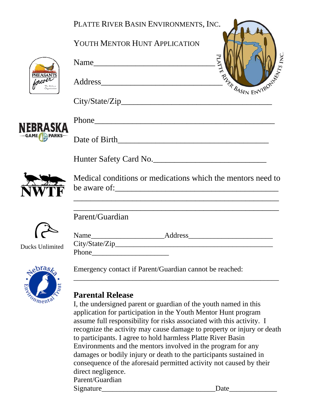|                 | PLATTE RIVER BASIN ENVIRONMENTS, INC.                                                                                                                                                                                                                                                                                                                                                                                                                                                                                                                                                         |
|-----------------|-----------------------------------------------------------------------------------------------------------------------------------------------------------------------------------------------------------------------------------------------------------------------------------------------------------------------------------------------------------------------------------------------------------------------------------------------------------------------------------------------------------------------------------------------------------------------------------------------|
|                 | YOUTH MENTOR HUNT APPLICATION                                                                                                                                                                                                                                                                                                                                                                                                                                                                                                                                                                 |
|                 | INC.<br>Name                                                                                                                                                                                                                                                                                                                                                                                                                                                                                                                                                                                  |
|                 | <b>EXPLASIN ENVIRONMENT</b>                                                                                                                                                                                                                                                                                                                                                                                                                                                                                                                                                                   |
|                 | City/State/Zip                                                                                                                                                                                                                                                                                                                                                                                                                                                                                                                                                                                |
| NEBRASKA        |                                                                                                                                                                                                                                                                                                                                                                                                                                                                                                                                                                                               |
|                 |                                                                                                                                                                                                                                                                                                                                                                                                                                                                                                                                                                                               |
|                 | Hunter Safety Card No.                                                                                                                                                                                                                                                                                                                                                                                                                                                                                                                                                                        |
|                 | Medical conditions or medications which the mentors need to                                                                                                                                                                                                                                                                                                                                                                                                                                                                                                                                   |
|                 | Parent/Guardian                                                                                                                                                                                                                                                                                                                                                                                                                                                                                                                                                                               |
|                 |                                                                                                                                                                                                                                                                                                                                                                                                                                                                                                                                                                                               |
| Ducks Unlimited | <b>Phone</b>                                                                                                                                                                                                                                                                                                                                                                                                                                                                                                                                                                                  |
| Nebras          | Emergency contact if Parent/Guardian cannot be reached:                                                                                                                                                                                                                                                                                                                                                                                                                                                                                                                                       |
|                 | <b>Parental Release</b><br>I, the undersigned parent or guardian of the youth named in this<br>application for participation in the Youth Mentor Hunt program<br>assume full responsibility for risks associated with this activity. I<br>recognize the activity may cause damage to property or injury or death<br>to participants. I agree to hold harmless Platte River Basin<br>Environments and the mentors involved in the program for any<br>damages or bodily injury or death to the participants sustained in<br>consequence of the aforesaid permitted activity not caused by their |

direct negligence.

Parent/Guardian Signature\_\_\_\_\_\_\_\_\_\_\_\_\_\_\_\_\_\_\_\_\_\_\_\_\_\_\_\_\_\_\_Date\_\_\_\_\_\_\_\_\_\_\_\_\_